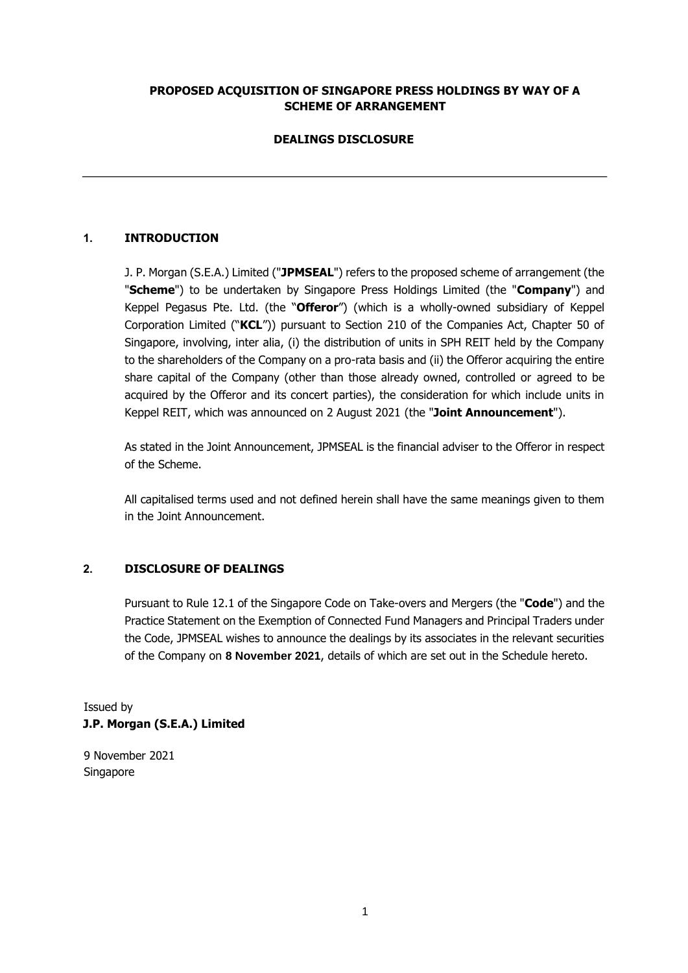### **PROPOSED ACQUISITION OF SINGAPORE PRESS HOLDINGS BY WAY OF A SCHEME OF ARRANGEMENT**

# **DEALINGS DISCLOSURE**

# **1. INTRODUCTION**

J. P. Morgan (S.E.A.) Limited ("**JPMSEAL**") refers to the proposed scheme of arrangement (the "**Scheme**") to be undertaken by Singapore Press Holdings Limited (the "**Company**") and Keppel Pegasus Pte. Ltd. (the "**Offeror**") (which is a wholly-owned subsidiary of Keppel Corporation Limited ("**KCL**")) pursuant to Section 210 of the Companies Act, Chapter 50 of Singapore, involving, inter alia, (i) the distribution of units in SPH REIT held by the Company to the shareholders of the Company on a pro-rata basis and (ii) the Offeror acquiring the entire share capital of the Company (other than those already owned, controlled or agreed to be acquired by the Offeror and its concert parties), the consideration for which include units in Keppel REIT, which was announced on 2 August 2021 (the "**Joint Announcement**").

As stated in the Joint Announcement, JPMSEAL is the financial adviser to the Offeror in respect of the Scheme.

All capitalised terms used and not defined herein shall have the same meanings given to them in the Joint Announcement.

### **2. DISCLOSURE OF DEALINGS**

Pursuant to Rule 12.1 of the Singapore Code on Take-overs and Mergers (the "**Code**") and the Practice Statement on the Exemption of Connected Fund Managers and Principal Traders under the Code, JPMSEAL wishes to announce the dealings by its associates in the relevant securities of the Company on **8 November 2021**, details of which are set out in the Schedule hereto.

Issued by **J.P. Morgan (S.E.A.) Limited** 

9 November 2021 Singapore